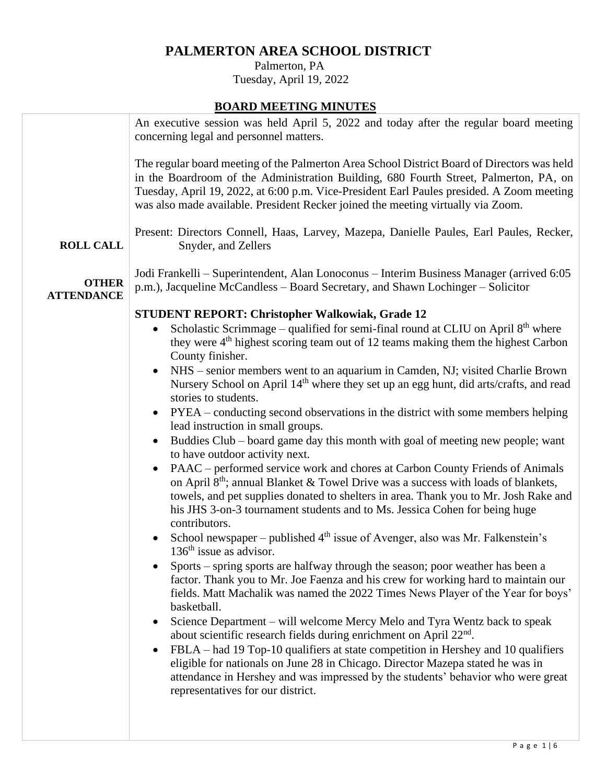# **PALMERTON AREA SCHOOL DISTRICT**

 Palmerton, PA Tuesday, April 19, 2022

# **BOARD MEETING MINUTES**

|                                   | An executive session was held April 5, 2022 and today after the regular board meeting<br>concerning legal and personnel matters.                                                                                                                                                                                                                                                                                                                                                                                                                                                                                                                                                                                                                                                                                                                                                                                                                      |
|-----------------------------------|-------------------------------------------------------------------------------------------------------------------------------------------------------------------------------------------------------------------------------------------------------------------------------------------------------------------------------------------------------------------------------------------------------------------------------------------------------------------------------------------------------------------------------------------------------------------------------------------------------------------------------------------------------------------------------------------------------------------------------------------------------------------------------------------------------------------------------------------------------------------------------------------------------------------------------------------------------|
|                                   | The regular board meeting of the Palmerton Area School District Board of Directors was held<br>in the Boardroom of the Administration Building, 680 Fourth Street, Palmerton, PA, on<br>Tuesday, April 19, 2022, at 6:00 p.m. Vice-President Earl Paules presided. A Zoom meeting<br>was also made available. President Recker joined the meeting virtually via Zoom.                                                                                                                                                                                                                                                                                                                                                                                                                                                                                                                                                                                 |
| <b>ROLL CALL</b>                  | Present: Directors Connell, Haas, Larvey, Mazepa, Danielle Paules, Earl Paules, Recker,<br>Snyder, and Zellers                                                                                                                                                                                                                                                                                                                                                                                                                                                                                                                                                                                                                                                                                                                                                                                                                                        |
| <b>OTHER</b><br><b>ATTENDANCE</b> | Jodi Frankelli – Superintendent, Alan Lonoconus – Interim Business Manager (arrived 6:05<br>p.m.), Jacqueline McCandless – Board Secretary, and Shawn Lochinger – Solicitor                                                                                                                                                                                                                                                                                                                                                                                                                                                                                                                                                                                                                                                                                                                                                                           |
|                                   | they were 4 <sup>th</sup> highest scoring team out of 12 teams making them the highest Carbon<br>County finisher.<br>NHS – senior members went to an aquarium in Camden, NJ; visited Charlie Brown<br>Nursery School on April 14 <sup>th</sup> where they set up an egg hunt, did arts/crafts, and read<br>stories to students.<br>• PYEA – conducting second observations in the district with some members helping<br>lead instruction in small groups.<br>Buddies Club - board game day this month with goal of meeting new people; want<br>to have outdoor activity next.<br>PAAC – performed service work and chores at Carbon County Friends of Animals<br>on April 8 <sup>th</sup> ; annual Blanket & Towel Drive was a success with loads of blankets,<br>towels, and pet supplies donated to shelters in area. Thank you to Mr. Josh Rake and<br>his JHS 3-on-3 tournament students and to Ms. Jessica Cohen for being huge<br>contributors. |
|                                   | School newspaper – published $4th$ issue of Avenger, also was Mr. Falkenstein's<br>$136th$ issue as advisor.<br>Sports – spring sports are halfway through the season; poor weather has been a<br>factor. Thank you to Mr. Joe Faenza and his crew for working hard to maintain our<br>fields. Matt Machalik was named the 2022 Times News Player of the Year for boys'<br>basketball.<br>Science Department - will welcome Mercy Melo and Tyra Wentz back to speak<br>about scientific research fields during enrichment on April 22 <sup>nd</sup> .<br>FBLA – had 19 Top-10 qualifiers at state competition in Hershey and 10 qualifiers<br>eligible for nationals on June 28 in Chicago. Director Mazepa stated he was in<br>attendance in Hershey and was impressed by the students' behavior who were great<br>representatives for our district.                                                                                                 |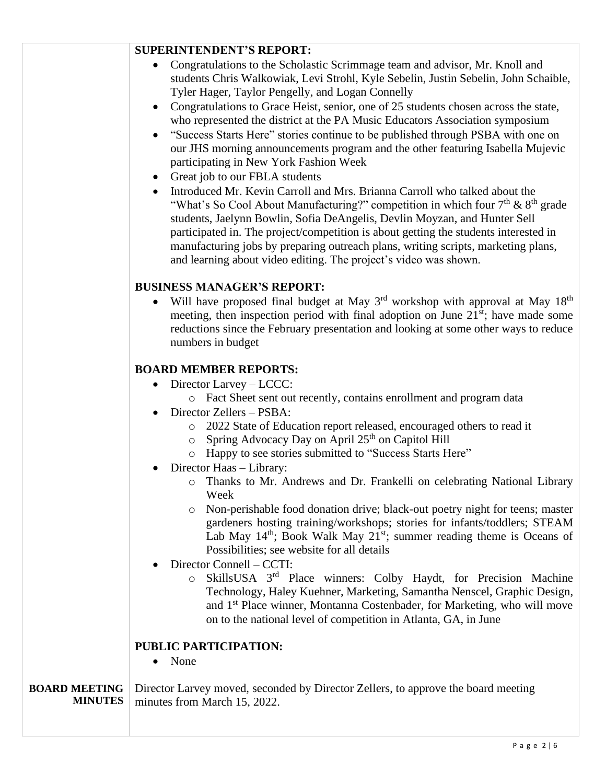#### **SUPERINTENDENT'S REPORT:**

- Congratulations to the Scholastic Scrimmage team and advisor, Mr. Knoll and students Chris Walkowiak, Levi Strohl, Kyle Sebelin, Justin Sebelin, John Schaible, Tyler Hager, Taylor Pengelly, and Logan Connelly
- Congratulations to Grace Heist, senior, one of 25 students chosen across the state, who represented the district at the PA Music Educators Association symposium
- "Success Starts Here" stories continue to be published through PSBA with one on our JHS morning announcements program and the other featuring Isabella Mujevic participating in New York Fashion Week
- Great job to our FBLA students
- Introduced Mr. Kevin Carroll and Mrs. Brianna Carroll who talked about the "What's So Cool About Manufacturing?" competition in which four  $7<sup>th</sup>$  &  $8<sup>th</sup>$  grade students, Jaelynn Bowlin, Sofia DeAngelis, Devlin Moyzan, and Hunter Sell participated in. The project/competition is about getting the students interested in manufacturing jobs by preparing outreach plans, writing scripts, marketing plans, and learning about video editing. The project's video was shown.

## **BUSINESS MANAGER'S REPORT:**

Will have proposed final budget at May  $3<sup>rd</sup>$  workshop with approval at May  $18<sup>th</sup>$ meeting, then inspection period with final adoption on June  $21<sup>st</sup>$ ; have made some reductions since the February presentation and looking at some other ways to reduce numbers in budget

## **BOARD MEMBER REPORTS:**

- Director Larvey LCCC:
	- o Fact Sheet sent out recently, contains enrollment and program data
- Director Zellers PSBA:
	- o 2022 State of Education report released, encouraged others to read it
	- $\circ$  Spring Advocacy Day on April 25<sup>th</sup> on Capitol Hill
	- o Happy to see stories submitted to "Success Starts Here"
- Director Haas Library:
	- o Thanks to Mr. Andrews and Dr. Frankelli on celebrating National Library Week
	- o Non-perishable food donation drive; black-out poetry night for teens; master gardeners hosting training/workshops; stories for infants/toddlers; STEAM Lab May  $14<sup>th</sup>$ ; Book Walk May  $21<sup>st</sup>$ ; summer reading theme is Oceans of Possibilities; see website for all details
- Director Connell CCTI:
	- o SkillsUSA 3rd Place winners: Colby Haydt, for Precision Machine Technology, Haley Kuehner, Marketing, Samantha Nenscel, Graphic Design, and 1st Place winner, Montanna Costenbader, for Marketing, who will move on to the national level of competition in Atlanta, GA, in June

#### **PUBLIC PARTICIPATION:**

• None

**BOARD MEETING MINUTES** Director Larvey moved, seconded by Director Zellers, to approve the board meeting minutes from March 15, 2022.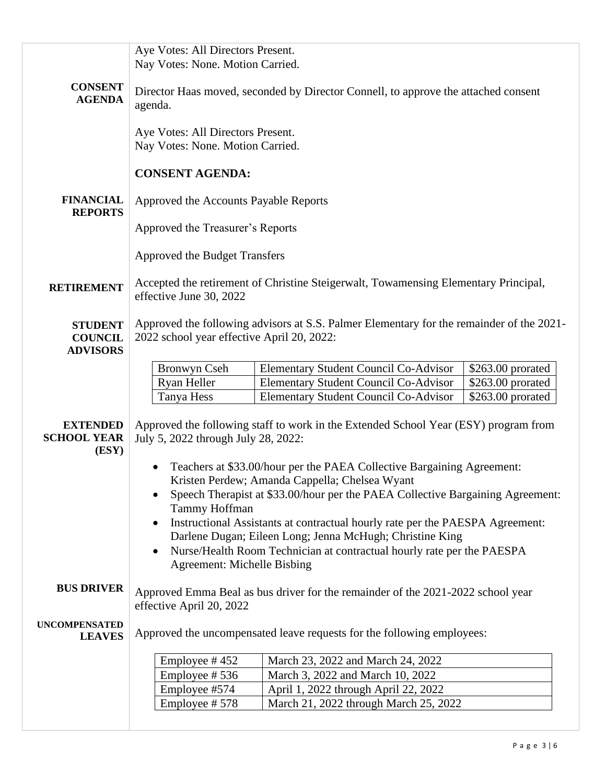|                                                     | Aye Votes: All Directors Present.<br>Nay Votes: None. Motion Carried.                                                                                                                                                                                                  |                                                                        |                    |  |  |
|-----------------------------------------------------|------------------------------------------------------------------------------------------------------------------------------------------------------------------------------------------------------------------------------------------------------------------------|------------------------------------------------------------------------|--------------------|--|--|
| <b>CONSENT</b><br><b>AGENDA</b>                     | Director Haas moved, seconded by Director Connell, to approve the attached consent<br>agenda.                                                                                                                                                                          |                                                                        |                    |  |  |
|                                                     | Aye Votes: All Directors Present.<br>Nay Votes: None. Motion Carried.                                                                                                                                                                                                  |                                                                        |                    |  |  |
|                                                     | <b>CONSENT AGENDA:</b>                                                                                                                                                                                                                                                 |                                                                        |                    |  |  |
| <b>FINANCIAL</b><br><b>REPORTS</b>                  | Approved the Accounts Payable Reports                                                                                                                                                                                                                                  |                                                                        |                    |  |  |
|                                                     | Approved the Treasurer's Reports                                                                                                                                                                                                                                       |                                                                        |                    |  |  |
|                                                     | Approved the Budget Transfers                                                                                                                                                                                                                                          |                                                                        |                    |  |  |
| <b>RETIREMENT</b>                                   | Accepted the retirement of Christine Steigerwalt, Towamensing Elementary Principal,<br>effective June 30, 2022                                                                                                                                                         |                                                                        |                    |  |  |
| <b>STUDENT</b><br><b>COUNCIL</b><br><b>ADVISORS</b> | Approved the following advisors at S.S. Palmer Elementary for the remainder of the 2021-<br>2022 school year effective April 20, 2022:                                                                                                                                 |                                                                        |                    |  |  |
|                                                     | <b>Bronwyn Cseh</b>                                                                                                                                                                                                                                                    | <b>Elementary Student Council Co-Advisor</b>                           | \$263.00 prorated  |  |  |
|                                                     | Ryan Heller                                                                                                                                                                                                                                                            | <b>Elementary Student Council Co-Advisor</b>                           | \$263.00 prorated  |  |  |
|                                                     | Tanya Hess                                                                                                                                                                                                                                                             | <b>Elementary Student Council Co-Advisor</b>                           | $$263.00$ prorated |  |  |
| <b>EXTENDED</b><br><b>SCHOOL YEAR</b><br>(ESY)      | Approved the following staff to work in the Extended School Year (ESY) program from<br>July 5, 2022 through July 28, 2022:                                                                                                                                             |                                                                        |                    |  |  |
|                                                     | Teachers at \$33.00/hour per the PAEA Collective Bargaining Agreement:                                                                                                                                                                                                 |                                                                        |                    |  |  |
|                                                     |                                                                                                                                                                                                                                                                        | Kristen Perdew; Amanda Cappella; Chelsea Wyant                         |                    |  |  |
|                                                     | Speech Therapist at \$33.00/hour per the PAEA Collective Bargaining Agreement:                                                                                                                                                                                         |                                                                        |                    |  |  |
|                                                     | Tammy Hoffman                                                                                                                                                                                                                                                          |                                                                        |                    |  |  |
|                                                     | Instructional Assistants at contractual hourly rate per the PAESPA Agreement:<br>$\bullet$<br>Darlene Dugan; Eileen Long; Jenna McHugh; Christine King<br>Nurse/Health Room Technician at contractual hourly rate per the PAESPA<br><b>Agreement: Michelle Bisbing</b> |                                                                        |                    |  |  |
|                                                     |                                                                                                                                                                                                                                                                        |                                                                        |                    |  |  |
|                                                     |                                                                                                                                                                                                                                                                        |                                                                        |                    |  |  |
| <b>BUS DRIVER</b>                                   | Approved Emma Beal as bus driver for the remainder of the 2021-2022 school year<br>effective April 20, 2022                                                                                                                                                            |                                                                        |                    |  |  |
| <b>UNCOMPENSATED</b><br><b>LEAVES</b>               |                                                                                                                                                                                                                                                                        | Approved the uncompensated leave requests for the following employees: |                    |  |  |
|                                                     | Employee #452                                                                                                                                                                                                                                                          | March 23, 2022 and March 24, 2022                                      |                    |  |  |
|                                                     | Employee #536                                                                                                                                                                                                                                                          | March 3, 2022 and March 10, 2022                                       |                    |  |  |
|                                                     | Employee #574                                                                                                                                                                                                                                                          | April 1, 2022 through April 22, 2022                                   |                    |  |  |
|                                                     | Employee #578                                                                                                                                                                                                                                                          | March 21, 2022 through March 25, 2022                                  |                    |  |  |
|                                                     |                                                                                                                                                                                                                                                                        |                                                                        |                    |  |  |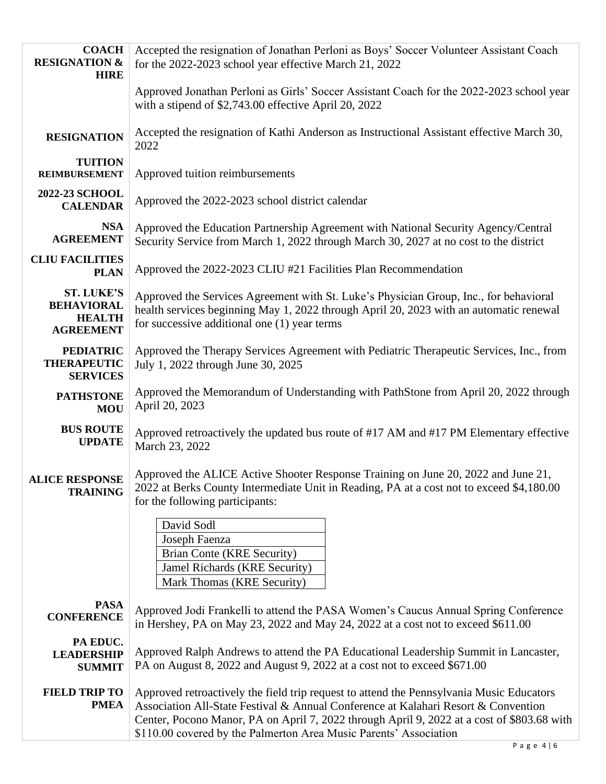| <b>COACH</b><br><b>RESIGNATION &amp;</b><br><b>HIRE</b>                     | Accepted the resignation of Jonathan Perloni as Boys' Soccer Volunteer Assistant Coach<br>for the 2022-2023 school year effective March 21, 2022                                                                                                                                                                                                  |  |  |
|-----------------------------------------------------------------------------|---------------------------------------------------------------------------------------------------------------------------------------------------------------------------------------------------------------------------------------------------------------------------------------------------------------------------------------------------|--|--|
|                                                                             | Approved Jonathan Perloni as Girls' Soccer Assistant Coach for the 2022-2023 school year<br>with a stipend of \$2,743.00 effective April 20, 2022                                                                                                                                                                                                 |  |  |
| <b>RESIGNATION</b>                                                          | Accepted the resignation of Kathi Anderson as Instructional Assistant effective March 30,<br>2022                                                                                                                                                                                                                                                 |  |  |
| <b>TUITION</b><br><b>REIMBURSEMENT</b>                                      | Approved tuition reimbursements                                                                                                                                                                                                                                                                                                                   |  |  |
| <b>2022-23 SCHOOL</b><br><b>CALENDAR</b>                                    | Approved the 2022-2023 school district calendar                                                                                                                                                                                                                                                                                                   |  |  |
| <b>NSA</b><br><b>AGREEMENT</b>                                              | Approved the Education Partnership Agreement with National Security Agency/Central<br>Security Service from March 1, 2022 through March 30, 2027 at no cost to the district                                                                                                                                                                       |  |  |
| <b>CLIU FACILITIES</b><br><b>PLAN</b>                                       | Approved the 2022-2023 CLIU #21 Facilities Plan Recommendation                                                                                                                                                                                                                                                                                    |  |  |
| <b>ST. LUKE'S</b><br><b>BEHAVIORAL</b><br><b>HEALTH</b><br><b>AGREEMENT</b> | Approved the Services Agreement with St. Luke's Physician Group, Inc., for behavioral<br>health services beginning May 1, 2022 through April 20, 2023 with an automatic renewal<br>for successive additional one (1) year terms                                                                                                                   |  |  |
| <b>PEDIATRIC</b><br><b>THERAPEUTIC</b><br><b>SERVICES</b>                   | Approved the Therapy Services Agreement with Pediatric Therapeutic Services, Inc., from<br>July 1, 2022 through June 30, 2025                                                                                                                                                                                                                     |  |  |
| <b>PATHSTONE</b><br><b>MOU</b>                                              | Approved the Memorandum of Understanding with PathStone from April 20, 2022 through<br>April 20, 2023                                                                                                                                                                                                                                             |  |  |
| <b>BUS ROUTE</b><br><b>UPDATE</b>                                           | Approved retroactively the updated bus route of #17 AM and #17 PM Elementary effective<br>March 23, 2022                                                                                                                                                                                                                                          |  |  |
| <b>ALICE RESPONSE</b><br><b>TRAINING</b>                                    | Approved the ALICE Active Shooter Response Training on June 20, 2022 and June 21,<br>2022 at Berks County Intermediate Unit in Reading, PA at a cost not to exceed \$4,180.00<br>for the following participants:<br>David Sodl                                                                                                                    |  |  |
|                                                                             | Joseph Faenza                                                                                                                                                                                                                                                                                                                                     |  |  |
|                                                                             | <b>Brian Conte (KRE Security)</b>                                                                                                                                                                                                                                                                                                                 |  |  |
|                                                                             | Jamel Richards (KRE Security)<br>Mark Thomas (KRE Security)                                                                                                                                                                                                                                                                                       |  |  |
| <b>PASA</b><br><b>CONFERENCE</b>                                            | Approved Jodi Frankelli to attend the PASA Women's Caucus Annual Spring Conference<br>in Hershey, PA on May 23, 2022 and May 24, 2022 at a cost not to exceed \$611.00                                                                                                                                                                            |  |  |
| PA EDUC.<br><b>LEADERSHIP</b><br><b>SUMMIT</b>                              | Approved Ralph Andrews to attend the PA Educational Leadership Summit in Lancaster,<br>PA on August 8, 2022 and August 9, 2022 at a cost not to exceed \$671.00                                                                                                                                                                                   |  |  |
| <b>FIELD TRIP TO</b><br><b>PMEA</b>                                         | Approved retroactively the field trip request to attend the Pennsylvania Music Educators<br>Association All-State Festival & Annual Conference at Kalahari Resort & Convention<br>Center, Pocono Manor, PA on April 7, 2022 through April 9, 2022 at a cost of \$803.68 with<br>\$110.00 covered by the Palmerton Area Music Parents' Association |  |  |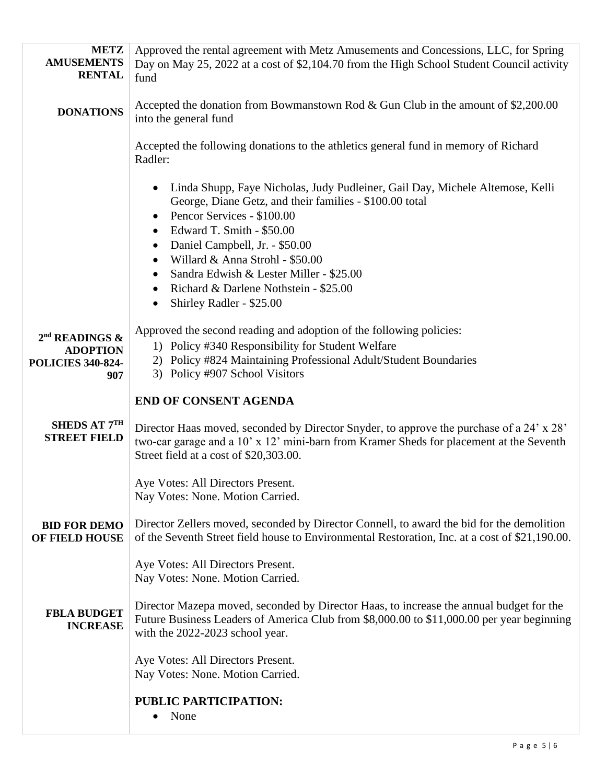| <b>METZ</b><br><b>AMUSEMENTS</b><br><b>RENTAL</b>                         | Approved the rental agreement with Metz Amusements and Concessions, LLC, for Spring<br>Day on May 25, 2022 at a cost of \$2,104.70 from the High School Student Council activity<br>fund                                                                                                                                                                                                                                                                                            |  |
|---------------------------------------------------------------------------|-------------------------------------------------------------------------------------------------------------------------------------------------------------------------------------------------------------------------------------------------------------------------------------------------------------------------------------------------------------------------------------------------------------------------------------------------------------------------------------|--|
| <b>DONATIONS</b>                                                          | Accepted the donation from Bowmanstown Rod & Gun Club in the amount of $$2,200.00$<br>into the general fund                                                                                                                                                                                                                                                                                                                                                                         |  |
|                                                                           | Accepted the following donations to the athletics general fund in memory of Richard<br>Radler:                                                                                                                                                                                                                                                                                                                                                                                      |  |
|                                                                           | Linda Shupp, Faye Nicholas, Judy Pudleiner, Gail Day, Michele Altemose, Kelli<br>$\bullet$<br>George, Diane Getz, and their families - \$100.00 total<br>Pencor Services - \$100.00<br>$\bullet$<br>Edward T. Smith - \$50.00<br>$\bullet$<br>Daniel Campbell, Jr. - \$50.00<br>$\bullet$<br>Willard & Anna Strohl - \$50.00<br>$\bullet$<br>Sandra Edwish & Lester Miller - \$25.00<br>Richard & Darlene Nothstein - \$25.00<br>$\bullet$<br>Shirley Radler - \$25.00<br>$\bullet$ |  |
| $2nd$ READINGS $\&$<br><b>ADOPTION</b><br><b>POLICIES 340-824-</b><br>907 | Approved the second reading and adoption of the following policies:<br>1) Policy #340 Responsibility for Student Welfare<br>2) Policy #824 Maintaining Professional Adult/Student Boundaries<br>3) Policy #907 School Visitors                                                                                                                                                                                                                                                      |  |
|                                                                           | <b>END OF CONSENT AGENDA</b>                                                                                                                                                                                                                                                                                                                                                                                                                                                        |  |
| SHEDS AT 7TH<br><b>STREET FIELD</b>                                       | Director Haas moved, seconded by Director Snyder, to approve the purchase of a 24' x 28'<br>two-car garage and a 10' x 12' mini-barn from Kramer Sheds for placement at the Seventh<br>Street field at a cost of \$20,303.00.                                                                                                                                                                                                                                                       |  |
|                                                                           | Aye Votes: All Directors Present.<br>Nay Votes: None. Motion Carried.                                                                                                                                                                                                                                                                                                                                                                                                               |  |
| <b>BID FOR DEMO</b><br>OF FIELD HOUSE                                     | Director Zellers moved, seconded by Director Connell, to award the bid for the demolition<br>of the Seventh Street field house to Environmental Restoration, Inc. at a cost of \$21,190.00.                                                                                                                                                                                                                                                                                         |  |
|                                                                           | Aye Votes: All Directors Present.<br>Nay Votes: None. Motion Carried.                                                                                                                                                                                                                                                                                                                                                                                                               |  |
| <b>FBLA BUDGET</b><br><b>INCREASE</b>                                     | Director Mazepa moved, seconded by Director Haas, to increase the annual budget for the<br>Future Business Leaders of America Club from \$8,000.00 to \$11,000.00 per year beginning<br>with the 2022-2023 school year.                                                                                                                                                                                                                                                             |  |
|                                                                           | Aye Votes: All Directors Present.<br>Nay Votes: None. Motion Carried.                                                                                                                                                                                                                                                                                                                                                                                                               |  |
|                                                                           | <b>PUBLIC PARTICIPATION:</b><br>None<br>٠                                                                                                                                                                                                                                                                                                                                                                                                                                           |  |